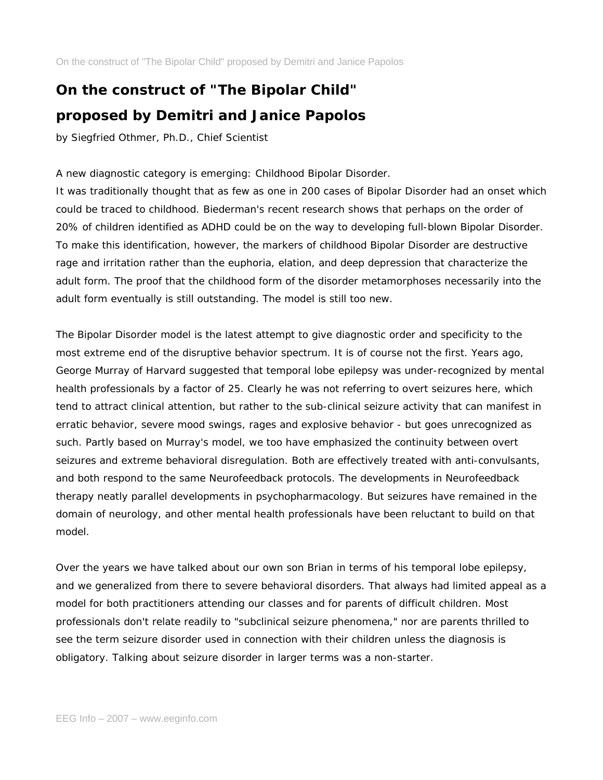# **On the construct of "The Bipolar Child" proposed by Demitri and Janice Papolos**

*by Siegfried Othmer, Ph.D., Chief Scientist*

A new diagnostic category is emerging: Childhood Bipolar Disorder.

It was traditionally thought that as few as one in 200 cases of Bipolar Disorder had an onset which could be traced to childhood. Biederman's recent research shows that perhaps on the order of 20% of children identified as ADHD could be on the way to developing full-blown Bipolar Disorder. To make this identification, however, the markers of childhood Bipolar Disorder are destructive rage and irritation rather than the euphoria, elation, and deep depression that characterize the adult form. The proof that the childhood form of the disorder metamorphoses necessarily into the adult form eventually is still outstanding. The model is still too new.

The Bipolar Disorder model is the latest attempt to give diagnostic order and specificity to the most extreme end of the disruptive behavior spectrum. It is of course not the first. Years ago, George Murray of Harvard suggested that temporal lobe epilepsy was under-recognized by mental health professionals by a factor of 25. Clearly he was not referring to overt seizures here, which tend to attract clinical attention, but rather to the sub-clinical seizure activity that can manifest in erratic behavior, severe mood swings, rages and explosive behavior - but goes unrecognized as such. Partly based on Murray's model, we too have emphasized the continuity between overt seizures and extreme behavioral disregulation. Both are effectively treated with anti-convulsants, and both respond to the same Neurofeedback protocols. The developments in Neurofeedback therapy neatly parallel developments in psychopharmacology. But seizures have remained in the domain of neurology, and other mental health professionals have been reluctant to build on that model.

Over the years we have talked about our own son Brian in terms of his temporal lobe epilepsy, and we generalized from there to severe behavioral disorders. That always had limited appeal as a model for both practitioners attending our classes and for parents of difficult children. Most professionals don't relate readily to "subclinical seizure phenomena," nor are parents thrilled to see the term seizure disorder used in connection with their children unless the diagnosis is obligatory. Talking about seizure disorder in larger terms was a non-starter.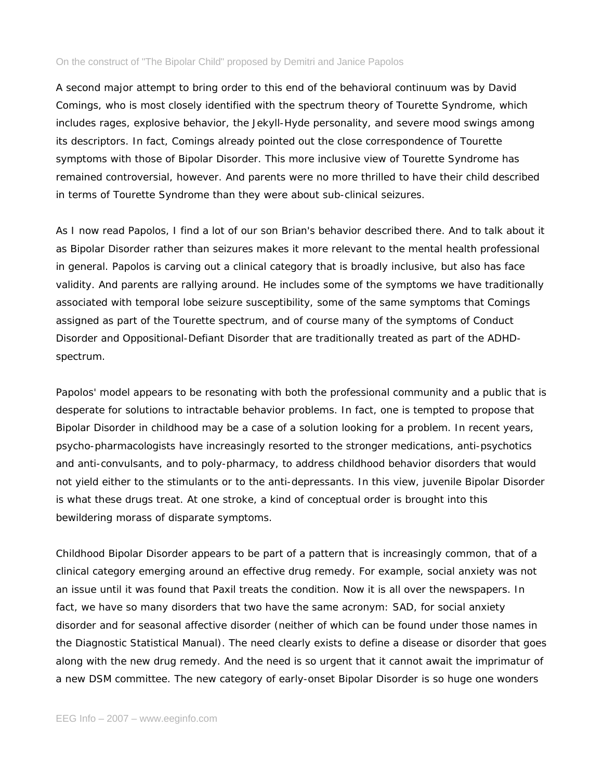A second major attempt to bring order to this end of the behavioral continuum was by David Comings, who is most closely identified with the spectrum theory of Tourette Syndrome, which includes rages, explosive behavior, the Jekyll-Hyde personality, and severe mood swings among its descriptors. In fact, Comings already pointed out the close correspondence of Tourette symptoms with those of Bipolar Disorder. This more inclusive view of Tourette Syndrome has remained controversial, however. And parents were no more thrilled to have their child described in terms of Tourette Syndrome than they were about sub-clinical seizures.

As I now read Papolos, I find a lot of our son Brian's behavior described there. And to talk about it as Bipolar Disorder rather than seizures makes it more relevant to the mental health professional in general. Papolos is carving out a clinical category that is broadly inclusive, but also has face validity. And parents are rallying around. He includes some of the symptoms we have traditionally associated with temporal lobe seizure susceptibility, some of the same symptoms that Comings assigned as part of the Tourette spectrum, and of course many of the symptoms of Conduct Disorder and Oppositional-Defiant Disorder that are traditionally treated as part of the ADHDspectrum.

Papolos' model appears to be resonating with both the professional community and a public that is desperate for solutions to intractable behavior problems. In fact, one is tempted to propose that Bipolar Disorder in childhood may be a case of a solution looking for a problem. In recent years, psycho-pharmacologists have increasingly resorted to the stronger medications, anti-psychotics and anti-convulsants, and to poly-pharmacy, to address childhood behavior disorders that would not yield either to the stimulants or to the anti-depressants. In this view, juvenile Bipolar Disorder is what these drugs treat. At one stroke, a kind of conceptual order is brought into this bewildering morass of disparate symptoms.

Childhood Bipolar Disorder appears to be part of a pattern that is increasingly common, that of a clinical category emerging around an effective drug remedy. For example, social anxiety was not an issue until it was found that Paxil treats the condition. Now it is all over the newspapers. In fact, we have so many disorders that two have the same acronym: SAD, for social anxiety disorder and for seasonal affective disorder (neither of which can be found under those names in the Diagnostic Statistical Manual). The need clearly exists to define a disease or disorder that goes along with the new drug remedy. And the need is so urgent that it cannot await the imprimatur of a new DSM committee. The new category of early-onset Bipolar Disorder is so huge one wonders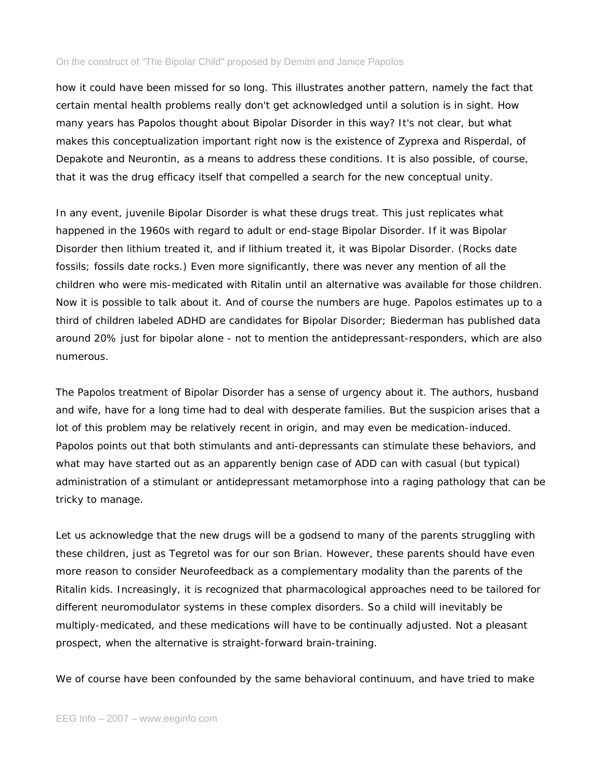how it could have been missed for so long. This illustrates another pattern, namely the fact that certain mental health problems really don't get acknowledged until a solution is in sight. How many years has Papolos thought about Bipolar Disorder in this way? It's not clear, but what makes this conceptualization important right now is the existence of Zyprexa and Risperdal, of Depakote and Neurontin, as a means to address these conditions. It is also possible, of course, that it was the drug efficacy itself that compelled a search for the new conceptual unity.

In any event, juvenile Bipolar Disorder is what these drugs treat. This just replicates what happened in the 1960s with regard to adult or end-stage Bipolar Disorder. If it was Bipolar Disorder then lithium treated it, and if lithium treated it, it was Bipolar Disorder. (Rocks date fossils; fossils date rocks.) Even more significantly, there was never any mention of all the children who were mis-medicated with Ritalin until an alternative was available for those children. Now it is possible to talk about it. And of course the numbers are huge. Papolos estimates up to a third of children labeled ADHD are candidates for Bipolar Disorder; Biederman has published data around 20% just for bipolar alone - not to mention the antidepressant-responders, which are also numerous.

The Papolos treatment of Bipolar Disorder has a sense of urgency about it. The authors, husband and wife, have for a long time had to deal with desperate families. But the suspicion arises that a lot of this problem may be relatively recent in origin, and may even be medication-induced. Papolos points out that both stimulants and anti-depressants can stimulate these behaviors, and what may have started out as an apparently benign case of ADD can with casual (but typical) administration of a stimulant or antidepressant metamorphose into a raging pathology that can be tricky to manage.

Let us acknowledge that the new drugs will be a godsend to many of the parents struggling with these children, just as Tegretol was for our son Brian. However, these parents should have even more reason to consider Neurofeedback as a complementary modality than the parents of the Ritalin kids. Increasingly, it is recognized that pharmacological approaches need to be tailored for different neuromodulator systems in these complex disorders. So a child will inevitably be multiply-medicated, and these medications will have to be continually adjusted. Not a pleasant prospect, when the alternative is straight-forward brain-training.

We of course have been confounded by the same behavioral continuum, and have tried to make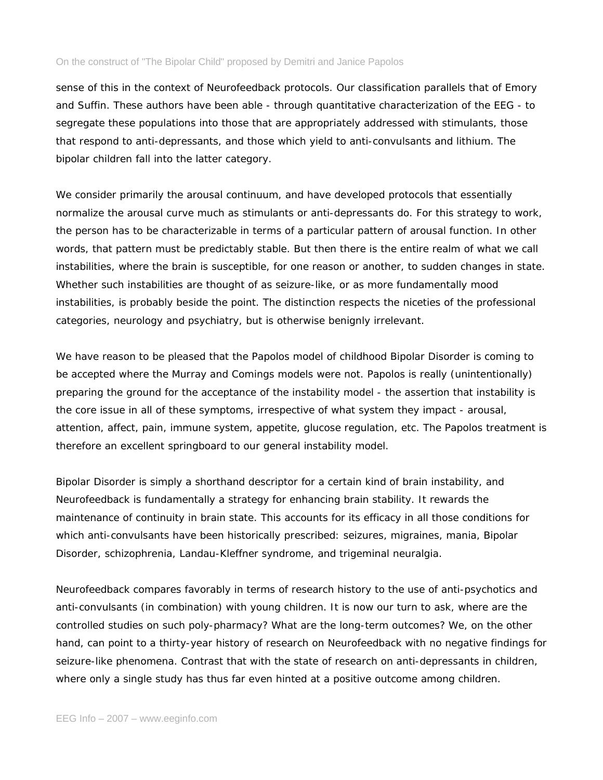sense of this in the context of Neurofeedback protocols. Our classification parallels that of Emory and Suffin. These authors have been able - through quantitative characterization of the EEG - to segregate these populations into those that are appropriately addressed with stimulants, those that respond to anti-depressants, and those which yield to anti-convulsants and lithium. The bipolar children fall into the latter category.

We consider primarily the arousal continuum, and have developed protocols that essentially normalize the arousal curve much as stimulants or anti-depressants do. For this strategy to work, the person has to be characterizable in terms of a particular pattern of arousal function. In other words, that pattern must be predictably stable. But then there is the entire realm of what we call instabilities, where the brain is susceptible, for one reason or another, to sudden changes in state. Whether such instabilities are thought of as seizure-like, or as more fundamentally mood instabilities, is probably beside the point. The distinction respects the niceties of the professional categories, neurology and psychiatry, but is otherwise benignly irrelevant.

We have reason to be pleased that the Papolos model of childhood Bipolar Disorder is coming to be accepted where the Murray and Comings models were not. Papolos is really (unintentionally) preparing the ground for the acceptance of the instability model - the assertion that instability is the core issue in all of these symptoms, irrespective of what system they impact - arousal, attention, affect, pain, immune system, appetite, glucose regulation, etc. The Papolos treatment is therefore an excellent springboard to our general instability model.

Bipolar Disorder is simply a shorthand descriptor for a certain kind of brain instability, and Neurofeedback is fundamentally a strategy for enhancing brain stability. It rewards the maintenance of continuity in brain state. This accounts for its efficacy in all those conditions for which anti-convulsants have been historically prescribed: seizures, migraines, mania, Bipolar Disorder, schizophrenia, Landau-Kleffner syndrome, and trigeminal neuralgia.

Neurofeedback compares favorably in terms of research history to the use of anti-psychotics and anti-convulsants (in combination) with young children. It is now our turn to ask, where are the controlled studies on such poly-pharmacy? What are the long-term outcomes? We, on the other hand, can point to a thirty-year history of research on Neurofeedback with no negative findings for seizure-like phenomena. Contrast that with the state of research on anti-depressants in children, where only a single study has thus far even hinted at a positive outcome among children.